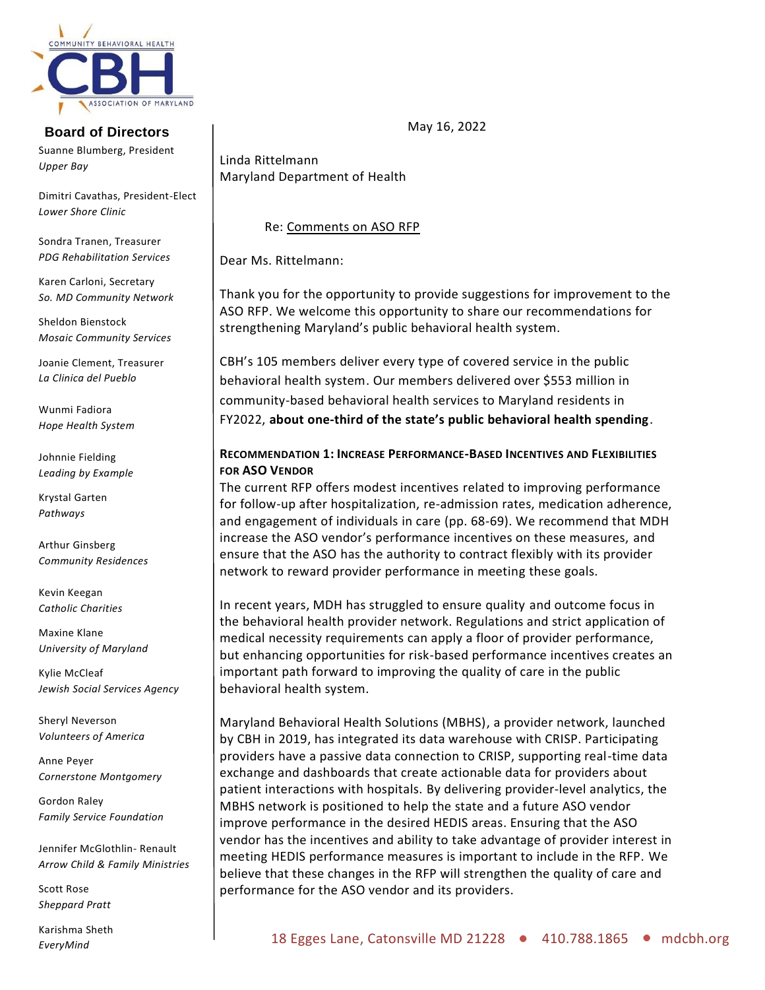

# **Board of Directors**

Suanne Blumberg, President *Upper Bay*

Dimitri Cavathas, President-Elect *Lower Shore Clinic*

Sondra Tranen, Treasurer *PDG Rehabilitation Services* 

Karen Carloni, Secretary *So. MD Community Network*

Sheldon Bienstock *Mosaic Community Services*

Joanie Clement, Treasurer *La Clinica del Pueblo*

Wunmi Fadiora *Hope Health System*

Johnnie Fielding *Leading by Example*

Krystal Garten *Pathways*

Arthur Ginsberg *Community Residences*

Kevin Keegan *Catholic Charities*

Maxine Klane *University of Maryland*

Kylie McCleaf *Jewish Social Services Agency*

Sheryl Neverson *Volunteers of America*

Anne Peyer *Cornerstone Montgomery*

Gordon Raley *Family Service Foundation*

Jennifer McGlothlin- Renault *Arrow Child & Family Ministries*

Scott Rose *Sheppard Pratt*

Karishma Sheth *EveryMind*

Linda Rittelmann Maryland Department of Health

### Re: Comments on ASO RFP

Dear Ms. Rittelmann:

Thank you for the opportunity to provide suggestions for improvement to the ASO RFP. We welcome this opportunity to share our recommendations for strengthening Maryland's public behavioral health system.

CBH's 105 members deliver every type of covered service in the public behavioral health system. Our members delivered over \$553 million in community-based behavioral health services to Maryland residents in FY2022, **about one-third of the state's public behavioral health spending**.

## **RECOMMENDATION 1: INCREASE PERFORMANCE-BASED INCENTIVES AND FLEXIBILITIES FOR ASO VENDOR**

The current RFP offers modest incentives related to improving performance for follow-up after hospitalization, re-admission rates, medication adherence, and engagement of individuals in care (pp. 68-69). We recommend that MDH increase the ASO vendor's performance incentives on these measures, and ensure that the ASO has the authority to contract flexibly with its provider network to reward provider performance in meeting these goals.

In recent years, MDH has struggled to ensure quality and outcome focus in the behavioral health provider network. Regulations and strict application of medical necessity requirements can apply a floor of provider performance, but enhancing opportunities for risk-based performance incentives creates an important path forward to improving the quality of care in the public behavioral health system.

Maryland Behavioral Health Solutions (MBHS), a provider network, launched by CBH in 2019, has integrated its data warehouse with CRISP. Participating providers have a passive data connection to CRISP, supporting real-time data exchange and dashboards that create actionable data for providers about patient interactions with hospitals. By delivering provider-level analytics, the MBHS network is positioned to help the state and a future ASO vendor improve performance in the desired HEDIS areas. Ensuring that the ASO vendor has the incentives and ability to take advantage of provider interest in meeting HEDIS performance measures is important to include in the RFP. We believe that these changes in the RFP will strengthen the quality of care and performance for the ASO vendor and its providers.

May 16, 2022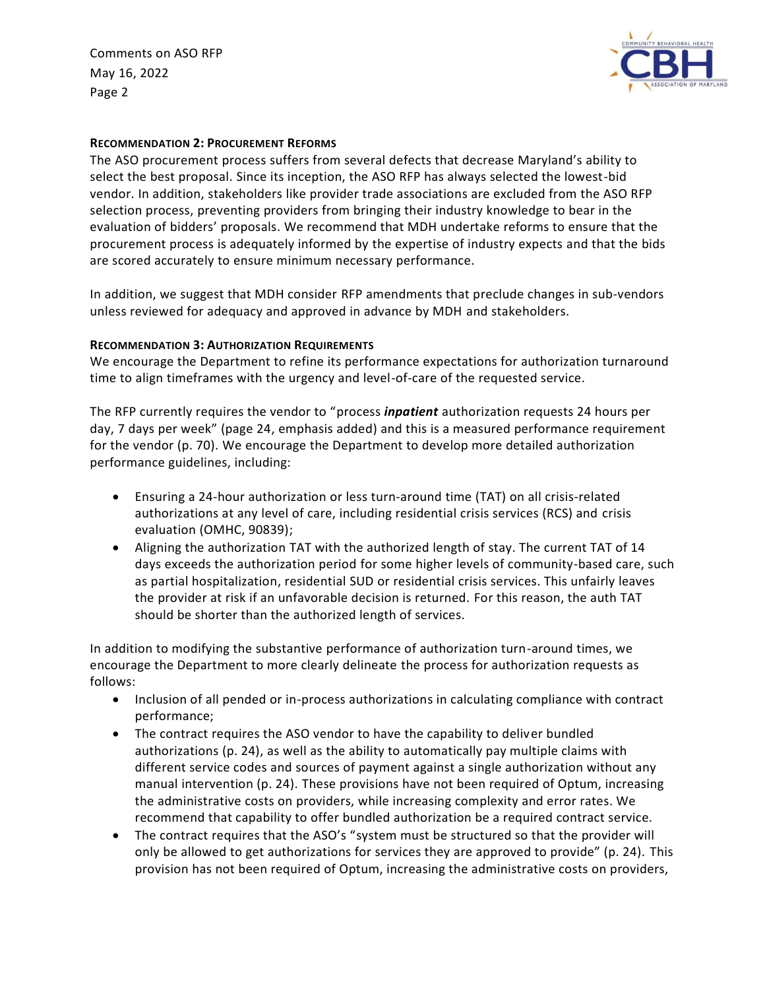Comments on ASO RFP May 16, 2022 Page 2



#### **RECOMMENDATION 2: PROCUREMENT REFORMS**

The ASO procurement process suffers from several defects that decrease Maryland's ability to select the best proposal. Since its inception, the ASO RFP has always selected the lowest-bid vendor. In addition, stakeholders like provider trade associations are excluded from the ASO RFP selection process, preventing providers from bringing their industry knowledge to bear in the evaluation of bidders' proposals. We recommend that MDH undertake reforms to ensure that the procurement process is adequately informed by the expertise of industry expects and that the bids are scored accurately to ensure minimum necessary performance.

In addition, we suggest that MDH consider RFP amendments that preclude changes in sub-vendors unless reviewed for adequacy and approved in advance by MDH and stakeholders.

#### **RECOMMENDATION 3: AUTHORIZATION REQUIREMENTS**

We encourage the Department to refine its performance expectations for authorization turnaround time to align timeframes with the urgency and level-of-care of the requested service.

The RFP currently requires the vendor to "process *inpatient* authorization requests 24 hours per day, 7 days per week" (page 24, emphasis added) and this is a measured performance requirement for the vendor (p. 70). We encourage the Department to develop more detailed authorization performance guidelines, including:

- Ensuring a 24-hour authorization or less turn-around time (TAT) on all crisis-related authorizations at any level of care, including residential crisis services (RCS) and crisis evaluation (OMHC, 90839);
- Aligning the authorization TAT with the authorized length of stay. The current TAT of 14 days exceeds the authorization period for some higher levels of community-based care, such as partial hospitalization, residential SUD or residential crisis services. This unfairly leaves the provider at risk if an unfavorable decision is returned. For this reason, the auth TAT should be shorter than the authorized length of services.

In addition to modifying the substantive performance of authorization turn-around times, we encourage the Department to more clearly delineate the process for authorization requests as follows:

- Inclusion of all pended or in-process authorizations in calculating compliance with contract performance;
- The contract requires the ASO vendor to have the capability to deliver bundled authorizations (p. 24), as well as the ability to automatically pay multiple claims with different service codes and sources of payment against a single authorization without any manual intervention (p. 24). These provisions have not been required of Optum, increasing the administrative costs on providers, while increasing complexity and error rates. We recommend that capability to offer bundled authorization be a required contract service.
- The contract requires that the ASO's "system must be structured so that the provider will only be allowed to get authorizations for services they are approved to provide" (p. 24). This provision has not been required of Optum, increasing the administrative costs on providers,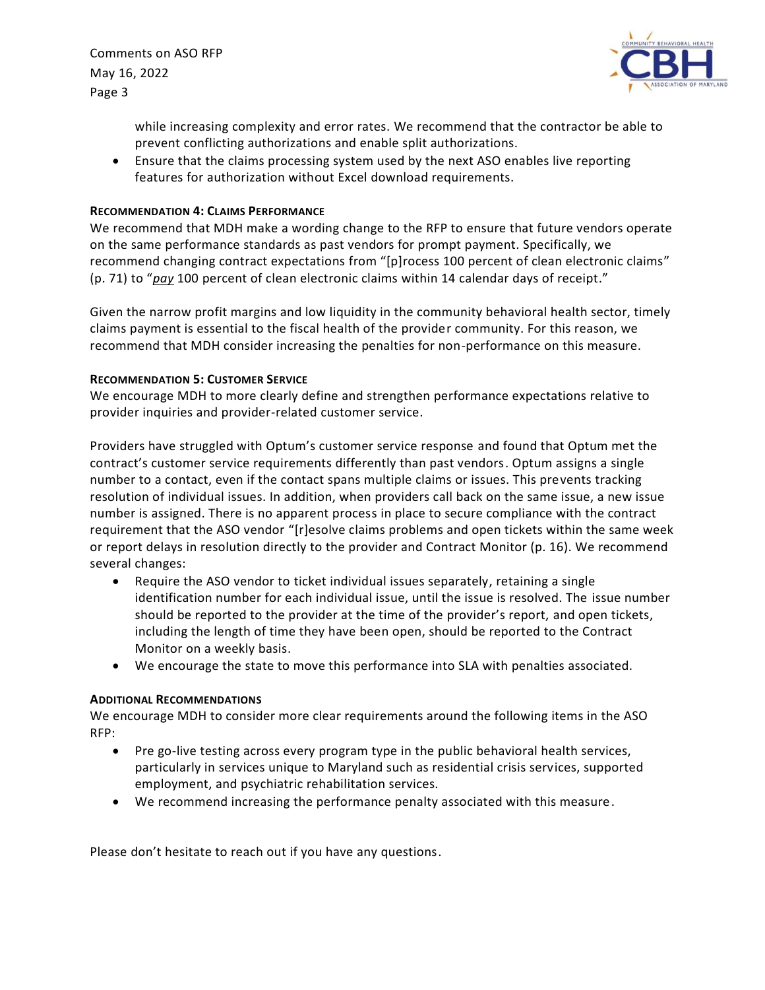Comments on ASO RFP May 16, 2022 Page 3



while increasing complexity and error rates. We recommend that the contractor be able to prevent conflicting authorizations and enable split authorizations.

• Ensure that the claims processing system used by the next ASO enables live reporting features for authorization without Excel download requirements.

#### **RECOMMENDATION 4: CLAIMS PERFORMANCE**

We recommend that MDH make a wording change to the RFP to ensure that future vendors operate on the same performance standards as past vendors for prompt payment. Specifically, we recommend changing contract expectations from "[p]rocess 100 percent of clean electronic claims" (p. 71) to "*pay* 100 percent of clean electronic claims within 14 calendar days of receipt."

Given the narrow profit margins and low liquidity in the community behavioral health sector, timely claims payment is essential to the fiscal health of the provider community. For this reason, we recommend that MDH consider increasing the penalties for non-performance on this measure.

#### **RECOMMENDATION 5: CUSTOMER SERVICE**

We encourage MDH to more clearly define and strengthen performance expectations relative to provider inquiries and provider-related customer service.

Providers have struggled with Optum's customer service response and found that Optum met the contract's customer service requirements differently than past vendors. Optum assigns a single number to a contact, even if the contact spans multiple claims or issues. This prevents tracking resolution of individual issues. In addition, when providers call back on the same issue, a new issue number is assigned. There is no apparent process in place to secure compliance with the contract requirement that the ASO vendor "[r]esolve claims problems and open tickets within the same week or report delays in resolution directly to the provider and Contract Monitor (p. 16). We recommend several changes:

- Require the ASO vendor to ticket individual issues separately, retaining a single identification number for each individual issue, until the issue is resolved. The issue number should be reported to the provider at the time of the provider's report, and open tickets, including the length of time they have been open, should be reported to the Contract Monitor on a weekly basis.
- We encourage the state to move this performance into SLA with penalties associated.

#### **ADDITIONAL RECOMMENDATIONS**

We encourage MDH to consider more clear requirements around the following items in the ASO RFP:

- Pre go-live testing across every program type in the public behavioral health services, particularly in services unique to Maryland such as residential crisis services, supported employment, and psychiatric rehabilitation services.
- We recommend increasing the performance penalty associated with this measure.

Please don't hesitate to reach out if you have any questions.